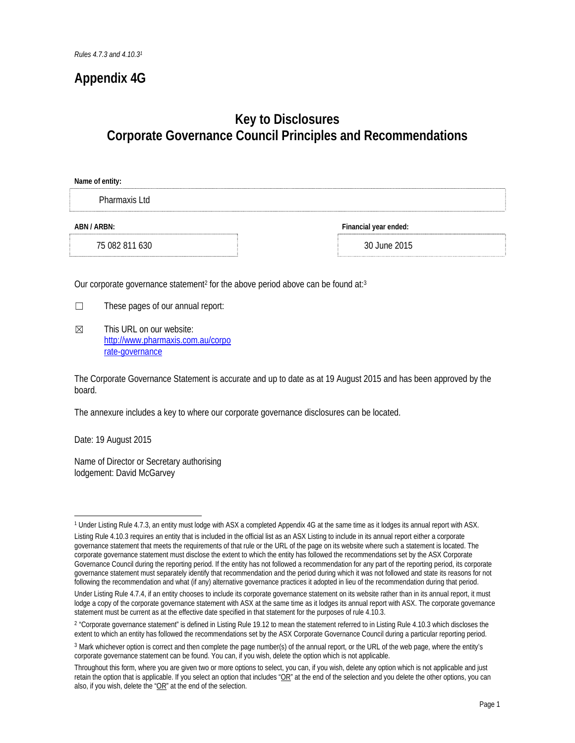## **Appendix 4G**

## **Key to Disclosures Corporate Governance Council Principles and Recommendations**

| Name of entity: |                       |
|-----------------|-----------------------|
| Pharmaxis Ltd   |                       |
| ABN / ARBN:     | Financial year ended: |
| 75 082 811 630  | 30 June 2015          |

Our corporate governance statement<sup>2</sup> for the above period above can be found at:<sup>3</sup>

- $\Box$  These pages of our annual report:
- $\boxtimes$  This URL on our website: http://www.pharmaxis.com.au/corpo rate-governance

The Corporate Governance Statement is accurate and up to date as at 19 August 2015 and has been approved by the board.

The annexure includes a key to where our corporate governance disclosures can be located.

Date: 19 August 2015

Name of Director or Secretary authorising lodgement: David McGarvey

<sup>1</sup> Under Listing Rule 4.7.3, an entity must lodge with ASX a completed Appendix 4G at the same time as it lodges its annual report with ASX.

Listing Rule 4.10.3 requires an entity that is included in the official list as an ASX Listing to include in its annual report either a corporate governance statement that meets the requirements of that rule or the URL of the page on its website where such a statement is located. The corporate governance statement must disclose the extent to which the entity has followed the recommendations set by the ASX Corporate Governance Council during the reporting period. If the entity has not followed a recommendation for any part of the reporting period, its corporate governance statement must separately identify that recommendation and the period during which it was not followed and state its reasons for not following the recommendation and what (if any) alternative governance practices it adopted in lieu of the recommendation during that period.

Under Listing Rule 4.7.4, if an entity chooses to include its corporate governance statement on its website rather than in its annual report, it must lodge a copy of the corporate governance statement with ASX at the same time as it lodges its annual report with ASX. The corporate governance statement must be current as at the effective date specified in that statement for the purposes of rule 4.10.3.

<sup>&</sup>lt;sup>2</sup> "Corporate governance statement" is defined in Listing Rule 19.12 to mean the statement referred to in Listing Rule 4.10.3 which discloses the extent to which an entity has followed the recommendations set by the ASX Corporate Governance Council during a particular reporting period.

<sup>3</sup> Mark whichever option is correct and then complete the page number(s) of the annual report, or the URL of the web page, where the entity's corporate governance statement can be found. You can, if you wish, delete the option which is not applicable.

Throughout this form, where you are given two or more options to select, you can, if you wish, delete any option which is not applicable and just retain the option that is applicable. If you select an option that includes "OR" at the end of the selection and you delete the other options, you can also, if you wish, delete the " $OR$ " at the end of the selection.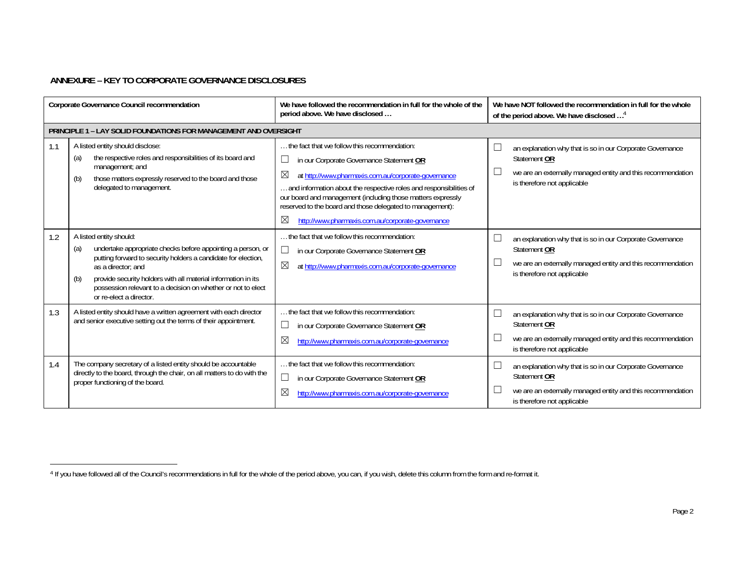## **ANNEXURE – KEY TO CORPORATE GOVERNANCE DISCLOSURES**

|     | Corporate Governance Council recommendation                                                                                                                                                                                                                                                                                                             | We have followed the recommendation in full for the whole of the<br>period above. We have disclosed                                                                                                                                                                                                                                                                                                                         | We have NOT followed the recommendation in full for the whole<br>of the period above. We have disclosed <sup>4</sup>                                                              |
|-----|---------------------------------------------------------------------------------------------------------------------------------------------------------------------------------------------------------------------------------------------------------------------------------------------------------------------------------------------------------|-----------------------------------------------------------------------------------------------------------------------------------------------------------------------------------------------------------------------------------------------------------------------------------------------------------------------------------------------------------------------------------------------------------------------------|-----------------------------------------------------------------------------------------------------------------------------------------------------------------------------------|
|     | <b>PRINCIPLE 1 - LAY SOLID FOUNDATIONS FOR MANAGEMENT AND OVERSIGHT</b>                                                                                                                                                                                                                                                                                 |                                                                                                                                                                                                                                                                                                                                                                                                                             |                                                                                                                                                                                   |
| 1.1 | A listed entity should disclose:<br>the respective roles and responsibilities of its board and<br>(a)<br>management; and<br>those matters expressly reserved to the board and those<br>(b)<br>delegated to management.                                                                                                                                  | the fact that we follow this recommendation:<br>in our Corporate Governance Statement OR<br>⊠<br>at http://www.pharmaxis.com.au/corporate-governance<br>. and information about the respective roles and responsibilities of<br>our board and management (including those matters expressly<br>reserved to the board and those delegated to management):<br>$\boxtimes$<br>http://www.pharmaxis.com.au/corporate-governance | an explanation why that is so in our Corporate Governance<br>Statement OR<br>we are an externally managed entity and this recommendation<br>is therefore not applicable           |
| 1.2 | A listed entity should:<br>undertake appropriate checks before appointing a person, or<br>(a)<br>putting forward to security holders a candidate for election,<br>as a director: and<br>provide security holders with all material information in its<br>(b)<br>possession relevant to a decision on whether or not to elect<br>or re-elect a director. | the fact that we follow this recommendation:<br>$\Box$<br>in our Corporate Governance Statement OR<br>⊠<br>at http://www.pharmaxis.com.au/corporate-governance                                                                                                                                                                                                                                                              | $\Box$<br>an explanation why that is so in our Corporate Governance<br>Statement OR<br>we are an externally managed entity and this recommendation<br>is therefore not applicable |
| 1.3 | A listed entity should have a written agreement with each director<br>and senior executive setting out the terms of their appointment.                                                                                                                                                                                                                  | the fact that we follow this recommendation:<br>in our Corporate Governance Statement OR<br>⊠<br>http://www.pharmaxis.com.au/corporate-governance                                                                                                                                                                                                                                                                           | $\Box$<br>an explanation why that is so in our Corporate Governance<br>Statement OR<br>we are an externally managed entity and this recommendation<br>is therefore not applicable |
| 1.4 | The company secretary of a listed entity should be accountable<br>directly to the board, through the chair, on all matters to do with the<br>proper functioning of the board.                                                                                                                                                                           | the fact that we follow this recommendation:<br>in our Corporate Governance Statement OR<br>$\boxtimes$<br>http://www.pharmaxis.com.au/corporate-governance                                                                                                                                                                                                                                                                 | an explanation why that is so in our Corporate Governance<br>Statement OR<br>we are an externally managed entity and this recommendation<br>is therefore not applicable           |

<sup>4</sup> If you have followed all of the Council's recommendations in full for the whole of the period above, you can, if you wish, delete this column from the form and re-format it.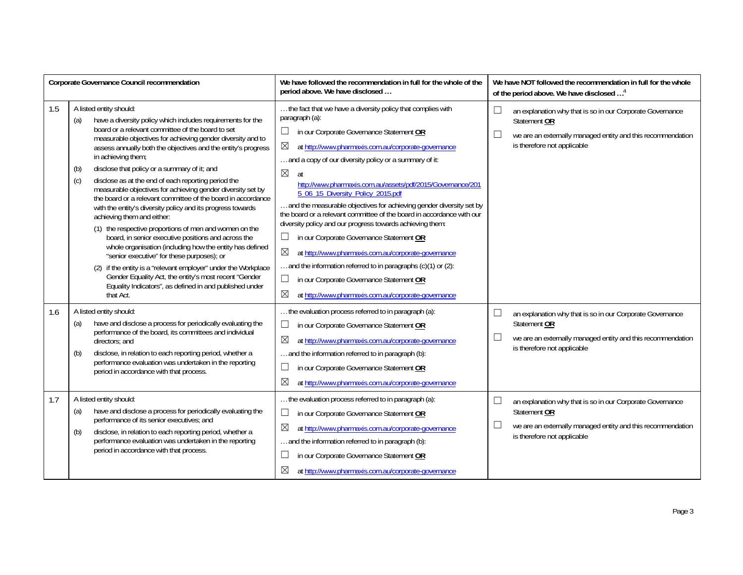|     | <b>Corporate Governance Council recommendation</b>                                                                                                                                                                                                                                                                                                                                                                                                                                                                                                                                                                                                                                                                                                                                                                                                                                                                                                                                                                                                                                      | We have followed the recommendation in full for the whole of the<br>period above. We have disclosed                                                                                                                                                                                                                                                                                                                                                                                                                                                                                                                                                                                                                                                                                                                                                                                 | We have NOT followed the recommendation in full for the whole<br>of the period above. We have disclosed <sup>4</sup>                                                                                                               |  |
|-----|-----------------------------------------------------------------------------------------------------------------------------------------------------------------------------------------------------------------------------------------------------------------------------------------------------------------------------------------------------------------------------------------------------------------------------------------------------------------------------------------------------------------------------------------------------------------------------------------------------------------------------------------------------------------------------------------------------------------------------------------------------------------------------------------------------------------------------------------------------------------------------------------------------------------------------------------------------------------------------------------------------------------------------------------------------------------------------------------|-------------------------------------------------------------------------------------------------------------------------------------------------------------------------------------------------------------------------------------------------------------------------------------------------------------------------------------------------------------------------------------------------------------------------------------------------------------------------------------------------------------------------------------------------------------------------------------------------------------------------------------------------------------------------------------------------------------------------------------------------------------------------------------------------------------------------------------------------------------------------------------|------------------------------------------------------------------------------------------------------------------------------------------------------------------------------------------------------------------------------------|--|
| 1.5 | A listed entity should:<br>have a diversity policy which includes requirements for the<br>(a)<br>board or a relevant committee of the board to set<br>measurable objectives for achieving gender diversity and to<br>assess annually both the objectives and the entity's progress<br>in achieving them;<br>disclose that policy or a summary of it; and<br>(b)<br>disclose as at the end of each reporting period the<br>(c)<br>measurable objectives for achieving gender diversity set by<br>the board or a relevant committee of the board in accordance<br>with the entity's diversity policy and its progress towards<br>achieving them and either:<br>(1) the respective proportions of men and women on the<br>board, in senior executive positions and across the<br>whole organisation (including how the entity has defined<br>"senior executive" for these purposes); or<br>(2) if the entity is a "relevant employer" under the Workplace<br>Gender Equality Act, the entity's most recent "Gender<br>Equality Indicators", as defined in and published under<br>that Act. | the fact that we have a diversity policy that complies with<br>paragraph (a):<br>in our Corporate Governance Statement OR<br>⊠<br>at http://www.pharmaxis.com.au/corporate-governance<br>and a copy of our diversity policy or a summary of it:<br>$\boxtimes$<br>at<br>http://www.pharmaxis.com.au/assets/pdf/2015/Governance/201<br>5 06 15 Diversity Policy 2015.pdf<br>and the measurable objectives for achieving gender diversity set by<br>the board or a relevant committee of the board in accordance with our<br>diversity policy and our progress towards achieving them:<br>$\Box$<br>in our Corporate Governance Statement OR<br>⊠<br>at http://www.pharmaxis.com.au/corporate-governance<br>and the information referred to in paragraphs $(c)(1)$ or $(2)$ :<br>in our Corporate Governance Statement OR<br>⊠<br>at http://www.pharmaxis.com.au/corporate-governance | $\mathcal{L}_{\mathcal{A}}$<br>an explanation why that is so in our Corporate Governance<br>Statement OR<br>we are an externally managed entity and this recommendation<br>$\overline{\phantom{a}}$<br>is therefore not applicable |  |
| 1.6 | A listed entity should:<br>have and disclose a process for periodically evaluating the<br>(a)<br>performance of the board, its committees and individual<br>directors: and<br>disclose, in relation to each reporting period, whether a<br>(b)<br>performance evaluation was undertaken in the reporting<br>period in accordance with that process.                                                                                                                                                                                                                                                                                                                                                                                                                                                                                                                                                                                                                                                                                                                                     | the evaluation process referred to in paragraph (a):<br>in our Corporate Governance Statement OR<br>⊠<br>at http://www.pharmaxis.com.au/corporate-governance<br>and the information referred to in paragraph (b):<br>in our Corporate Governance Statement OR<br>⊠<br>at http://www.pharmaxis.com.au/corporate-governance                                                                                                                                                                                                                                                                                                                                                                                                                                                                                                                                                           | $\Box$<br>an explanation why that is so in our Corporate Governance<br>Statement OR<br>$\mathcal{L}_{\mathcal{A}}$<br>we are an externally managed entity and this recommendation<br>is therefore not applicable                   |  |
| 1.7 | A listed entity should:<br>have and disclose a process for periodically evaluating the<br>(a)<br>performance of its senior executives; and<br>disclose, in relation to each reporting period, whether a<br>(b)<br>performance evaluation was undertaken in the reporting<br>period in accordance with that process.                                                                                                                                                                                                                                                                                                                                                                                                                                                                                                                                                                                                                                                                                                                                                                     | the evaluation process referred to in paragraph (a):<br>in our Corporate Governance Statement OR<br>$\overline{\phantom{a}}$<br>$\boxtimes$<br>at http://www.pharmaxis.com.au/corporate-governance<br>and the information referred to in paragraph (b):<br>in our Corporate Governance Statement OR<br>⊠<br>at http://www.pharmaxis.com.au/corporate-governance                                                                                                                                                                                                                                                                                                                                                                                                                                                                                                                     | an explanation why that is so in our Corporate Governance<br>$\overline{\phantom{a}}$<br>Statement OR<br>we are an externally managed entity and this recommendation<br>$\overline{\phantom{a}}$<br>is therefore not applicable    |  |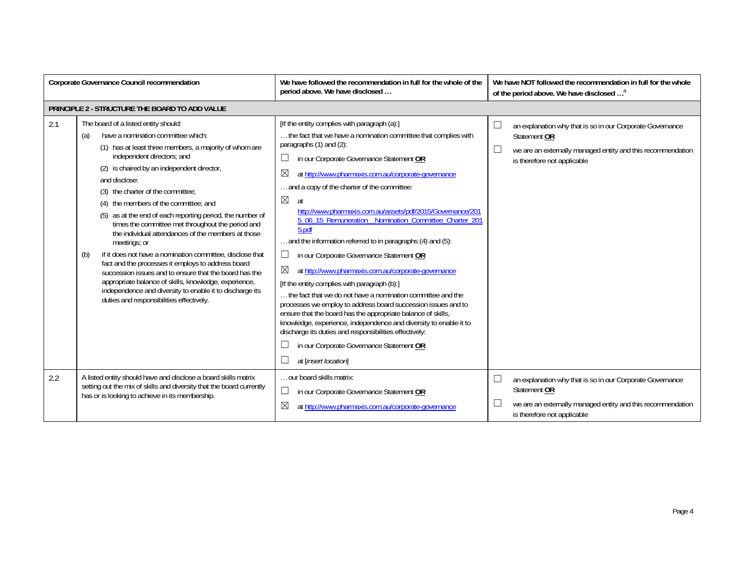| <b>Corporate Governance Council recommendation</b> |                                                                                                                                                                                                                                                                                                                                                                                                                                                                                                                                                                                                                                                                                                                                                                                                                                                                     | We have followed the recommendation in full for the whole of the<br>period above. We have disclosed                                                                                                                                                                                                                                                                                                                                                                                                                                                                                                                                                                                                                                                                                                                                                                                                                                                                                                                                                                                                 | We have NOT followed the recommendation in full for the whole<br>of the period above. We have disclosed <sup>4</sup>                                                                        |
|----------------------------------------------------|---------------------------------------------------------------------------------------------------------------------------------------------------------------------------------------------------------------------------------------------------------------------------------------------------------------------------------------------------------------------------------------------------------------------------------------------------------------------------------------------------------------------------------------------------------------------------------------------------------------------------------------------------------------------------------------------------------------------------------------------------------------------------------------------------------------------------------------------------------------------|-----------------------------------------------------------------------------------------------------------------------------------------------------------------------------------------------------------------------------------------------------------------------------------------------------------------------------------------------------------------------------------------------------------------------------------------------------------------------------------------------------------------------------------------------------------------------------------------------------------------------------------------------------------------------------------------------------------------------------------------------------------------------------------------------------------------------------------------------------------------------------------------------------------------------------------------------------------------------------------------------------------------------------------------------------------------------------------------------------|---------------------------------------------------------------------------------------------------------------------------------------------------------------------------------------------|
|                                                    | PRINCIPLE 2 - STRUCTURE THE BOARD TO ADD VALUE                                                                                                                                                                                                                                                                                                                                                                                                                                                                                                                                                                                                                                                                                                                                                                                                                      |                                                                                                                                                                                                                                                                                                                                                                                                                                                                                                                                                                                                                                                                                                                                                                                                                                                                                                                                                                                                                                                                                                     |                                                                                                                                                                                             |
| 2.1                                                | The board of a listed entity should:<br>have a nomination committee which:<br>(a)<br>(1) has at least three members, a majority of whom are<br>independent directors; and<br>(2) is chaired by an independent director,<br>and disclose:<br>(3) the charter of the committee:<br>(4) the members of the committee; and<br>(5) as at the end of each reporting period, the number of<br>times the committee met throughout the period and<br>the individual attendances of the members at those<br>meetings; or<br>if it does not have a nomination committee, disclose that<br>(b)<br>fact and the processes it employs to address board<br>succession issues and to ensure that the board has the<br>appropriate balance of skills, knowledge, experience,<br>independence and diversity to enable it to discharge its<br>duties and responsibilities effectively. | [If the entity complies with paragraph (a):]<br>the fact that we have a nomination committee that complies with<br>paragraphs (1) and (2):<br>in our Corporate Governance Statement OR<br>ப<br>⊠<br>at http://www.pharmaxis.com.au/corporate-governance<br>and a copy of the charter of the committee:<br>$\boxtimes$<br>at<br>http://www.pharmaxis.com.au/assets/pdf/2015/Governance/201<br>5_06_15_Remuneration_Nomination_Committee_Charter_201<br>5.pdf<br>and the information referred to in paragraphs (4) and (5):<br>in our Corporate Governance Statement OR<br>ப<br>$\boxtimes$<br>at http://www.pharmaxis.com.au/corporate-governance<br>[If the entity complies with paragraph (b):]<br>the fact that we do not have a nomination committee and the<br>processes we employ to address board succession issues and to<br>ensure that the board has the appropriate balance of skills,<br>knowledge, experience, independence and diversity to enable it to<br>discharge its duties and responsibilities effectively:<br>in our Corporate Governance Statement OR<br>at [insert location] | $\Box$<br>an explanation why that is so in our Corporate Governance<br>Statement OR<br>$\Box$<br>we are an externally managed entity and this recommendation<br>is therefore not applicable |
| 2.2                                                | A listed entity should have and disclose a board skills matrix<br>setting out the mix of skills and diversity that the board currently<br>has or is looking to achieve in its membership.                                                                                                                                                                                                                                                                                                                                                                                                                                                                                                                                                                                                                                                                           | our board skills matrix:<br>$\overline{\phantom{a}}$<br>in our Corporate Governance Statement OR<br>$\boxtimes$<br>at http://www.pharmaxis.com.au/corporate-governance                                                                                                                                                                                                                                                                                                                                                                                                                                                                                                                                                                                                                                                                                                                                                                                                                                                                                                                              | $\Box$<br>an explanation why that is so in our Corporate Governance<br>Statement OR<br>we are an externally managed entity and this recommendation<br>is therefore not applicable           |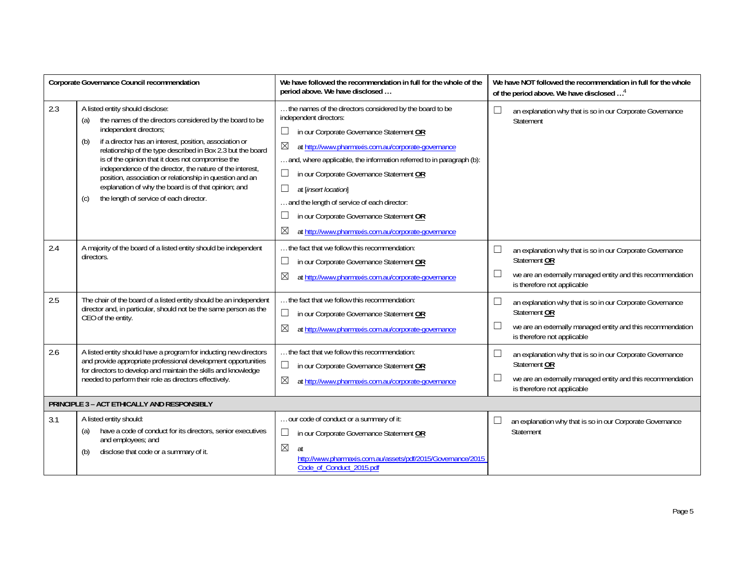| Corporate Governance Council recommendation |                                                                                                                                                                                                                                                                                                                                                                                                                                                                                                                                                        | We have followed the recommendation in full for the whole of the<br>period above. We have disclosed                                                                                                                                                                                                                                                                                                                                                                                                     | We have NOT followed the recommendation in full for the whole<br>of the period above. We have disclosed <sup>4</sup>                                                                                          |
|---------------------------------------------|--------------------------------------------------------------------------------------------------------------------------------------------------------------------------------------------------------------------------------------------------------------------------------------------------------------------------------------------------------------------------------------------------------------------------------------------------------------------------------------------------------------------------------------------------------|---------------------------------------------------------------------------------------------------------------------------------------------------------------------------------------------------------------------------------------------------------------------------------------------------------------------------------------------------------------------------------------------------------------------------------------------------------------------------------------------------------|---------------------------------------------------------------------------------------------------------------------------------------------------------------------------------------------------------------|
| 2.3                                         | A listed entity should disclose:<br>the names of the directors considered by the board to be<br>(a)<br>independent directors;<br>if a director has an interest, position, association or<br>(b)<br>relationship of the type described in Box 2.3 but the board<br>is of the opinion that it does not compromise the<br>independence of the director, the nature of the interest,<br>position, association or relationship in question and an<br>explanation of why the board is of that opinion; and<br>the length of service of each director.<br>(c) | the names of the directors considered by the board to be<br>independent directors:<br>in our Corporate Governance Statement OR<br>$\boxtimes$<br>at http://www.pharmaxis.com.au/corporate-governance<br>and, where applicable, the information referred to in paragraph (b):<br>in our Corporate Governance Statement OR<br>at [insert location]<br>and the length of service of each director:<br>in our Corporate Governance Statement OR<br>⊠<br>at http://www.pharmaxis.com.au/corporate-governance | an explanation why that is so in our Corporate Governance<br>⊔<br>Statement                                                                                                                                   |
| 2.4                                         | A majority of the board of a listed entity should be independent<br>directors.                                                                                                                                                                                                                                                                                                                                                                                                                                                                         | the fact that we follow this recommendation:<br>in our Corporate Governance Statement OR<br>⊠<br>at http://www.pharmaxis.com.au/corporate-governance                                                                                                                                                                                                                                                                                                                                                    | an explanation why that is so in our Corporate Governance<br>$\overline{\phantom{a}}$<br>Statement OR<br>we are an externally managed entity and this recommendation<br>└<br>is therefore not applicable      |
| 2.5                                         | The chair of the board of a listed entity should be an independent<br>director and, in particular, should not be the same person as the<br>CEO of the entity.                                                                                                                                                                                                                                                                                                                                                                                          | the fact that we follow this recommendation:<br>in our Corporate Governance Statement OR<br>ப<br>⊠<br>at http://www.pharmaxis.com.au/corporate-governance                                                                                                                                                                                                                                                                                                                                               | $\Box$<br>an explanation why that is so in our Corporate Governance<br>Statement OR<br>we are an externally managed entity and this recommendation<br>$\overline{\phantom{a}}$<br>is therefore not applicable |
| 2.6                                         | A listed entity should have a program for inducting new directors<br>and provide appropriate professional development opportunities<br>for directors to develop and maintain the skills and knowledge<br>needed to perform their role as directors effectively.                                                                                                                                                                                                                                                                                        | the fact that we follow this recommendation:<br>in our Corporate Governance Statement OR<br>$\boxtimes$<br>at http://www.pharmaxis.com.au/corporate-governance                                                                                                                                                                                                                                                                                                                                          | L<br>an explanation why that is so in our Corporate Governance<br>Statement OR<br>we are an externally managed entity and this recommendation<br>is therefore not applicable                                  |
| PRINCIPLE 3 - ACT ETHICALLY AND RESPONSIBLY |                                                                                                                                                                                                                                                                                                                                                                                                                                                                                                                                                        |                                                                                                                                                                                                                                                                                                                                                                                                                                                                                                         |                                                                                                                                                                                                               |
| 3.1                                         | A listed entity should:<br>have a code of conduct for its directors, senior executives<br>(a)<br>and employees; and<br>disclose that code or a summary of it.<br>(b)                                                                                                                                                                                                                                                                                                                                                                                   | our code of conduct or a summary of it:<br>in our Corporate Governance Statement OR<br>ப<br>$\boxtimes$<br>at<br>http://www.pharmaxis.com.au/assets/pdf/2015/Governance/2015<br>Code of Conduct 2015.pdf                                                                                                                                                                                                                                                                                                | an explanation why that is so in our Corporate Governance<br>Statement                                                                                                                                        |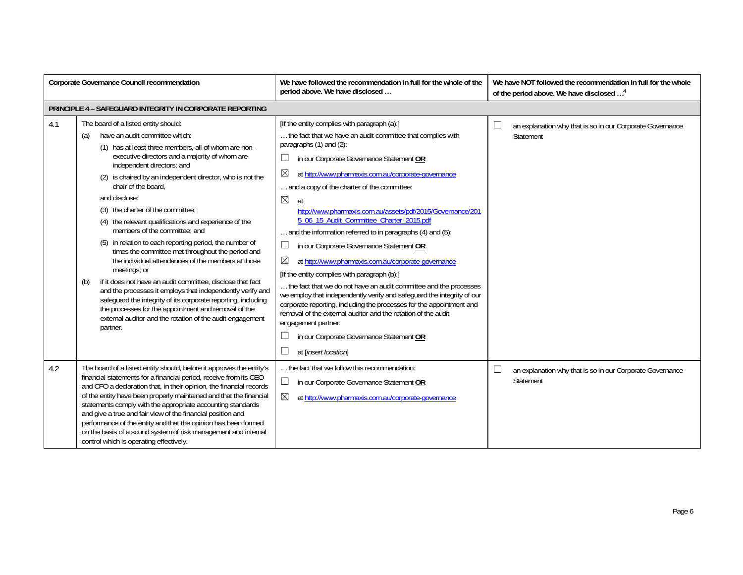| Corporate Governance Council recommendation |                                                                                                                                                                                                                                                                                                                                                                                                                                                                                                                                                                                                                                                                                                                                                                                                                                                                                                                                                                                      | We have followed the recommendation in full for the whole of the<br>period above. We have disclosed                                                                                                                                                                                                                                                                                                                                                                                                                                                                                                                                                                                                                                                                                                                                                                                                                                                                                                                                                                              | We have NOT followed the recommendation in full for the whole<br>of the period above. We have disclosed <sup>4</sup> |
|---------------------------------------------|--------------------------------------------------------------------------------------------------------------------------------------------------------------------------------------------------------------------------------------------------------------------------------------------------------------------------------------------------------------------------------------------------------------------------------------------------------------------------------------------------------------------------------------------------------------------------------------------------------------------------------------------------------------------------------------------------------------------------------------------------------------------------------------------------------------------------------------------------------------------------------------------------------------------------------------------------------------------------------------|----------------------------------------------------------------------------------------------------------------------------------------------------------------------------------------------------------------------------------------------------------------------------------------------------------------------------------------------------------------------------------------------------------------------------------------------------------------------------------------------------------------------------------------------------------------------------------------------------------------------------------------------------------------------------------------------------------------------------------------------------------------------------------------------------------------------------------------------------------------------------------------------------------------------------------------------------------------------------------------------------------------------------------------------------------------------------------|----------------------------------------------------------------------------------------------------------------------|
|                                             | PRINCIPLE 4 - SAFEGUARD INTEGRITY IN CORPORATE REPORTING                                                                                                                                                                                                                                                                                                                                                                                                                                                                                                                                                                                                                                                                                                                                                                                                                                                                                                                             |                                                                                                                                                                                                                                                                                                                                                                                                                                                                                                                                                                                                                                                                                                                                                                                                                                                                                                                                                                                                                                                                                  |                                                                                                                      |
| 4.1                                         | The board of a listed entity should:<br>have an audit committee which:<br>(a)<br>(1) has at least three members, all of whom are non-<br>executive directors and a majority of whom are<br>independent directors; and<br>(2) is chaired by an independent director, who is not the<br>chair of the board.<br>and disclose:<br>(3) the charter of the committee:<br>(4) the relevant qualifications and experience of the<br>members of the committee: and<br>(5) in relation to each reporting period, the number of<br>times the committee met throughout the period and<br>the individual attendances of the members at those<br>meetings; or<br>if it does not have an audit committee, disclose that fact<br>(b)<br>and the processes it employs that independently verify and<br>safeguard the integrity of its corporate reporting, including<br>the processes for the appointment and removal of the<br>external auditor and the rotation of the audit engagement<br>partner. | [If the entity complies with paragraph (a):]<br>the fact that we have an audit committee that complies with<br>paragraphs (1) and (2):<br>in our Corporate Governance Statement OR<br>ப<br>⊠<br>at http://www.pharmaxis.com.au/corporate-governance<br>and a copy of the charter of the committee:<br>$\boxtimes$<br>at<br>http://www.pharmaxis.com.au/assets/pdf/2015/Governance/201<br>5 06 15 Audit Committee Charter 2015.pdf<br>and the information referred to in paragraphs (4) and (5):<br>in our Corporate Governance Statement OR<br>$\Box$<br>X<br>at http://www.pharmaxis.com.au/corporate-governance<br>[If the entity complies with paragraph (b):]<br>the fact that we do not have an audit committee and the processes<br>we employ that independently verify and safeguard the integrity of our<br>corporate reporting, including the processes for the appointment and<br>removal of the external auditor and the rotation of the audit<br>engagement partner:<br>$\overline{\phantom{a}}$<br>in our Corporate Governance Statement OR<br>at [insert location] | $\overline{\phantom{a}}$<br>an explanation why that is so in our Corporate Governance<br>Statement                   |
| 4.2                                         | The board of a listed entity should, before it approves the entity's<br>financial statements for a financial period, receive from its CEO<br>and CFO a declaration that, in their opinion, the financial records<br>of the entity have been properly maintained and that the financial<br>statements comply with the appropriate accounting standards<br>and give a true and fair view of the financial position and<br>performance of the entity and that the opinion has been formed<br>on the basis of a sound system of risk management and internal<br>control which is operating effectively.                                                                                                                                                                                                                                                                                                                                                                                  | the fact that we follow this recommendation:<br>$\Box$<br>in our Corporate Governance Statement OR<br>$\boxtimes$<br>at http://www.pharmaxis.com.au/corporate-governance                                                                                                                                                                                                                                                                                                                                                                                                                                                                                                                                                                                                                                                                                                                                                                                                                                                                                                         | $\mathcal{L}_{\mathcal{A}}$<br>an explanation why that is so in our Corporate Governance<br>Statement                |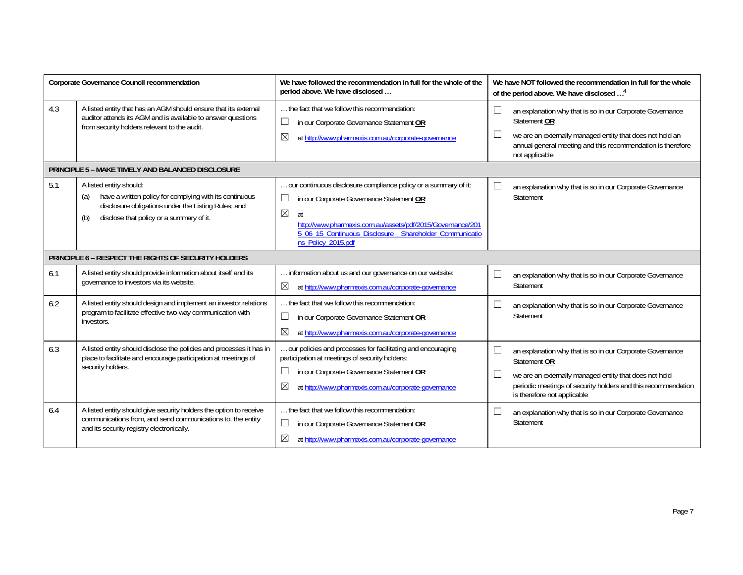|     | <b>Corporate Governance Council recommendation</b>                                                                                                                                                  | We have followed the recommendation in full for the whole of the<br>period above. We have disclosed                                                                                                                                                                                  |        | We have NOT followed the recommendation in full for the whole<br>of the period above. We have disclosed <sup>4</sup>                                                                                                                |
|-----|-----------------------------------------------------------------------------------------------------------------------------------------------------------------------------------------------------|--------------------------------------------------------------------------------------------------------------------------------------------------------------------------------------------------------------------------------------------------------------------------------------|--------|-------------------------------------------------------------------------------------------------------------------------------------------------------------------------------------------------------------------------------------|
| 4.3 | A listed entity that has an AGM should ensure that its external<br>auditor attends its AGM and is available to answer questions<br>from security holders relevant to the audit.                     | the fact that we follow this recommendation:<br>in our Corporate Governance Statement OR<br>$\sim$<br>⊠<br>at http://www.pharmaxis.com.au/corporate-governance                                                                                                                       | $\Box$ | an explanation why that is so in our Corporate Governance<br>Statement OR<br>we are an externally managed entity that does not hold an<br>annual general meeting and this recommendation is therefore<br>not applicable             |
|     | <b>PRINCIPLE 5 - MAKE TIMELY AND BALANCED DISCLOSURE</b>                                                                                                                                            |                                                                                                                                                                                                                                                                                      |        |                                                                                                                                                                                                                                     |
| 5.1 | A listed entity should:<br>have a written policy for complying with its continuous<br>(a)<br>disclosure obligations under the Listing Rules; and<br>disclose that policy or a summary of it.<br>(b) | our continuous disclosure compliance policy or a summary of it:<br>in our Corporate Governance Statement OR<br>ப<br>$\boxtimes$<br>at<br>http://www.pharmaxis.com.au/assets/pdf/2015/Governance/201<br>5_06_15_Continuous_Disclosure__Shareholder_Communicatio<br>ns_Policy_2015.pdf |        | an explanation why that is so in our Corporate Governance<br>Statement                                                                                                                                                              |
|     | PRINCIPLE 6 - RESPECT THE RIGHTS OF SECURITY HOLDERS                                                                                                                                                |                                                                                                                                                                                                                                                                                      |        |                                                                                                                                                                                                                                     |
| 6.1 | A listed entity should provide information about itself and its<br>governance to investors via its website.                                                                                         | information about us and our governance on our website:<br>$\boxtimes$<br>at http://www.pharmaxis.com.au/corporate-governance                                                                                                                                                        |        | an explanation why that is so in our Corporate Governance<br>Statement                                                                                                                                                              |
| 6.2 | A listed entity should design and implement an investor relations<br>program to facilitate effective two-way communication with<br>investors.                                                       | the fact that we follow this recommendation:<br>in our Corporate Governance Statement OR<br>$\Box$<br>⊠<br>at http://www.pharmaxis.com.au/corporate-governance                                                                                                                       |        | an explanation why that is so in our Corporate Governance<br>Statement                                                                                                                                                              |
| 6.3 | A listed entity should disclose the policies and processes it has in<br>place to facilitate and encourage participation at meetings of<br>security holders.                                         | our policies and processes for facilitating and encouraging<br>participation at meetings of security holders:<br>in our Corporate Governance Statement OR<br>⊠<br>at http://www.pharmaxis.com.au/corporate-governance                                                                |        | an explanation why that is so in our Corporate Governance<br>Statement OR<br>we are an externally managed entity that does not hold<br>periodic meetings of security holders and this recommendation<br>is therefore not applicable |
| 6.4 | A listed entity should give security holders the option to receive<br>communications from, and send communications to, the entity<br>and its security registry electronically.                      | the fact that we follow this recommendation:<br>in our Corporate Governance Statement OR<br>⊠<br>at http://www.pharmaxis.com.au/corporate-governance                                                                                                                                 |        | an explanation why that is so in our Corporate Governance<br>Statement                                                                                                                                                              |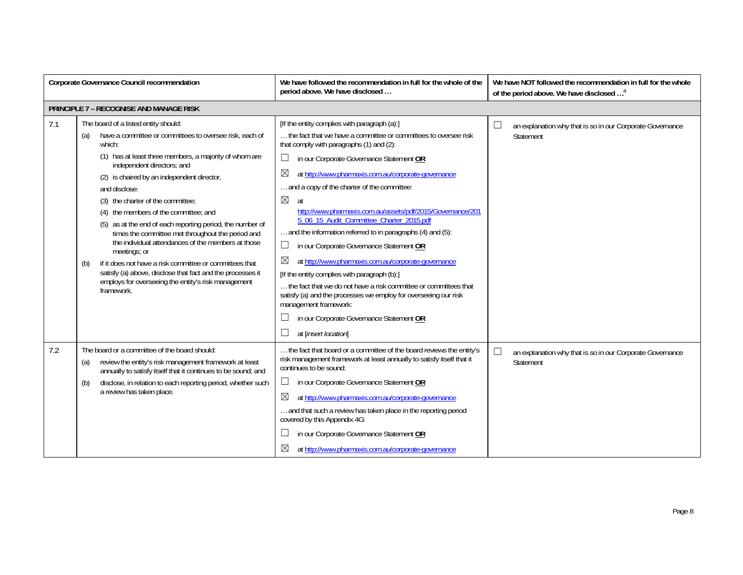|     | <b>Corporate Governance Council recommendation</b>                                                                                                                                                                                                                                                                                                                                                                                                                                                                                                                                                                                                                                                                                                 | We have followed the recommendation in full for the whole of the<br>period above. We have disclosed                                                                                                                                                                                                                                                                                                                                                                                                                                                                                                                                                                                                                                                                                                                                                                                                                                                 | We have NOT followed the recommendation in full for the whole<br>of the period above. We have disclosed <sup>4</sup> |
|-----|----------------------------------------------------------------------------------------------------------------------------------------------------------------------------------------------------------------------------------------------------------------------------------------------------------------------------------------------------------------------------------------------------------------------------------------------------------------------------------------------------------------------------------------------------------------------------------------------------------------------------------------------------------------------------------------------------------------------------------------------------|-----------------------------------------------------------------------------------------------------------------------------------------------------------------------------------------------------------------------------------------------------------------------------------------------------------------------------------------------------------------------------------------------------------------------------------------------------------------------------------------------------------------------------------------------------------------------------------------------------------------------------------------------------------------------------------------------------------------------------------------------------------------------------------------------------------------------------------------------------------------------------------------------------------------------------------------------------|----------------------------------------------------------------------------------------------------------------------|
|     | <b>PRINCIPLE 7 - RECOGNISE AND MANAGE RISK</b>                                                                                                                                                                                                                                                                                                                                                                                                                                                                                                                                                                                                                                                                                                     |                                                                                                                                                                                                                                                                                                                                                                                                                                                                                                                                                                                                                                                                                                                                                                                                                                                                                                                                                     |                                                                                                                      |
| 7.1 | The board of a listed entity should:<br>have a committee or committees to oversee risk, each of<br>(a)<br>which:<br>(1) has at least three members, a majority of whom are<br>independent directors; and<br>(2) is chaired by an independent director,<br>and disclose:<br>(3) the charter of the committee:<br>(4) the members of the committee; and<br>(5) as at the end of each reporting period, the number of<br>times the committee met throughout the period and<br>the individual attendances of the members at those<br>meetings; or<br>if it does not have a risk committee or committees that<br>(b)<br>satisfy (a) above, disclose that fact and the processes it<br>employs for overseeing the entity's risk management<br>framework. | [If the entity complies with paragraph (a):]<br>the fact that we have a committee or committees to oversee risk<br>that comply with paragraphs (1) and (2):<br>$\Box$<br>in our Corporate Governance Statement OR<br>$\boxtimes$<br>at http://www.pharmaxis.com.au/corporate-governance<br>and a copy of the charter of the committee:<br>$\boxtimes$<br>at<br>http://www.pharmaxis.com.au/assets/pdf/2015/Governance/201<br>5 06 15 Audit Committee Charter 2015.pdf<br>and the information referred to in paragraphs (4) and (5):<br>in our Corporate Governance Statement OR<br>$\Box$<br>$\boxtimes$<br>at http://www.pharmaxis.com.au/corporate-governance<br>[If the entity complies with paragraph (b):]<br>the fact that we do not have a risk committee or committees that<br>satisfy (a) and the processes we employ for overseeing our risk<br>management framework:<br>in our Corporate Governance Statement OR<br>at [insert location] | an explanation why that is so in our Corporate Governance<br>Statement                                               |
| 7.2 | The board or a committee of the board should:<br>review the entity's risk management framework at least<br>(a)<br>annually to satisfy itself that it continues to be sound; and<br>disclose, in relation to each reporting period, whether such<br>(b)<br>a review has taken place.                                                                                                                                                                                                                                                                                                                                                                                                                                                                | the fact that board or a committee of the board reviews the entity's<br>risk management framework at least annually to satisfy itself that it<br>continues to be sound:<br>in our Corporate Governance Statement OR<br>$\mathcal{L}_{\mathcal{A}}$<br>⊠<br>at http://www.pharmaxis.com.au/corporate-governance<br>and that such a review has taken place in the reporting period<br>covered by this Appendix 4G:<br>in our Corporate Governance Statement OR<br>$\boxtimes$<br>at http://www.pharmaxis.com.au/corporate-governance                                                                                                                                                                                                                                                                                                                                                                                                                  | $\Box$<br>an explanation why that is so in our Corporate Governance<br>Statement                                     |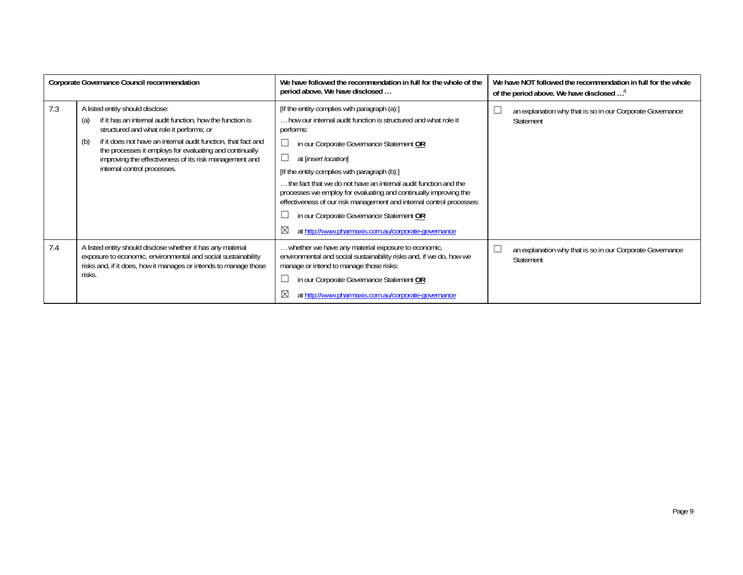|     | Corporate Governance Council recommendation                                                                                                                                                                                                                                                                                                                                  | We have followed the recommendation in full for the whole of the<br>period above. We have disclosed                                                                                                                                                                                                                                                                                                                                                                                                                                                                                | We have NOT followed the recommendation in full for the whole<br>of the period above. We have disclosed <sup>4</sup> |
|-----|------------------------------------------------------------------------------------------------------------------------------------------------------------------------------------------------------------------------------------------------------------------------------------------------------------------------------------------------------------------------------|------------------------------------------------------------------------------------------------------------------------------------------------------------------------------------------------------------------------------------------------------------------------------------------------------------------------------------------------------------------------------------------------------------------------------------------------------------------------------------------------------------------------------------------------------------------------------------|----------------------------------------------------------------------------------------------------------------------|
| 7.3 | A listed entity should disclose:<br>if it has an internal audit function, how the function is<br>(a)<br>structured and what role it performs; or<br>if it does not have an internal audit function, that fact and<br>(b)<br>the processes it employs for evaluating and continually<br>improving the effectiveness of its risk management and<br>internal control processes. | [If the entity complies with paragraph (a):]<br>, how our internal audit function is structured and what role it<br>performs:<br>in our Corporate Governance Statement OR<br>at [insert location]<br>[If the entity complies with paragraph (b):]<br>the fact that we do not have an internal audit function and the<br>processes we employ for evaluating and continually improving the<br>effectiveness of our risk management and internal control processes:<br>in our Corporate Governance Statement OR<br>$\boxtimes$<br>at http://www.pharmaxis.com.au/corporate-governance | an explanation why that is so in our Corporate Governance<br>Statement                                               |
| 7.4 | A listed entity should disclose whether it has any material<br>exposure to economic, environmental and social sustainability<br>risks and, if it does, how it manages or intends to manage those<br>risks.                                                                                                                                                                   | whether we have any material exposure to economic,<br>environmental and social sustainability risks and, if we do, how we<br>manage or intend to manage those risks:<br>in our Corporate Governance Statement OR<br>at http://www.pharmaxis.com.au/corporate-governance                                                                                                                                                                                                                                                                                                            | an explanation why that is so in our Corporate Governance<br>Statement                                               |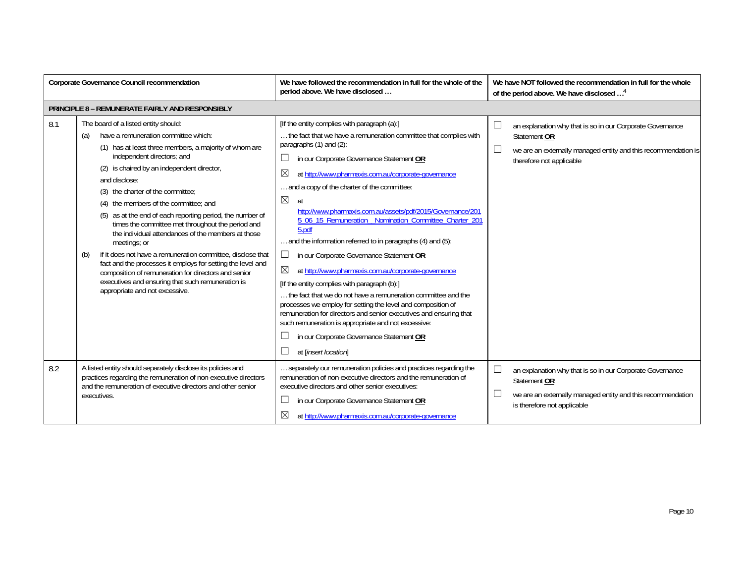| <b>Corporate Governance Council recommendation</b> |                                                                                                                                                                                                                                                                                                                                                                                                                                                                                                                                                                                                                                                                                                                                                                                                     | We have followed the recommendation in full for the whole of the<br>period above. We have disclosed                                                                                                                                                                                                                                                                                                                                                                                                                                                                                                                                                                                                                                                                                                                                                                                                                                                                                                                             | We have NOT followed the recommendation in full for the whole<br>of the period above. We have disclosed <sup>4</sup>                                                              |
|----------------------------------------------------|-----------------------------------------------------------------------------------------------------------------------------------------------------------------------------------------------------------------------------------------------------------------------------------------------------------------------------------------------------------------------------------------------------------------------------------------------------------------------------------------------------------------------------------------------------------------------------------------------------------------------------------------------------------------------------------------------------------------------------------------------------------------------------------------------------|---------------------------------------------------------------------------------------------------------------------------------------------------------------------------------------------------------------------------------------------------------------------------------------------------------------------------------------------------------------------------------------------------------------------------------------------------------------------------------------------------------------------------------------------------------------------------------------------------------------------------------------------------------------------------------------------------------------------------------------------------------------------------------------------------------------------------------------------------------------------------------------------------------------------------------------------------------------------------------------------------------------------------------|-----------------------------------------------------------------------------------------------------------------------------------------------------------------------------------|
|                                                    | PRINCIPLE 8 - REMUNERATE FAIRLY AND RESPONSIBLY                                                                                                                                                                                                                                                                                                                                                                                                                                                                                                                                                                                                                                                                                                                                                     |                                                                                                                                                                                                                                                                                                                                                                                                                                                                                                                                                                                                                                                                                                                                                                                                                                                                                                                                                                                                                                 |                                                                                                                                                                                   |
| 8.1                                                | The board of a listed entity should:<br>have a remuneration committee which:<br>(a)<br>(1) has at least three members, a majority of whom are<br>independent directors; and<br>(2) is chaired by an independent director,<br>and disclose:<br>(3) the charter of the committee:<br>the members of the committee; and<br>(4)<br>as at the end of each reporting period, the number of<br>times the committee met throughout the period and<br>the individual attendances of the members at those<br>meetings; or<br>if it does not have a remuneration committee, disclose that<br>(b)<br>fact and the processes it employs for setting the level and<br>composition of remuneration for directors and senior<br>executives and ensuring that such remuneration is<br>appropriate and not excessive. | [If the entity complies with paragraph (a):]<br>the fact that we have a remuneration committee that complies with<br>paragraphs $(1)$ and $(2)$ :<br>in our Corporate Governance Statement OR<br>⊠<br>at http://www.pharmaxis.com.au/corporate-governance<br>and a copy of the charter of the committee:<br>$\boxtimes$<br>at<br>http://www.pharmaxis.com.au/assets/pdf/2015/Governance/201<br>5_06_15_Remuneration_Nomination_Committee_Charter_201<br>5.pdf<br>and the information referred to in paragraphs (4) and (5):<br>$\Box$<br>in our Corporate Governance Statement OR<br>⊠<br>at http://www.pharmaxis.com.au/corporate-governance<br>[If the entity complies with paragraph (b):]<br>the fact that we do not have a remuneration committee and the<br>processes we employ for setting the level and composition of<br>remuneration for directors and senior executives and ensuring that<br>such remuneration is appropriate and not excessive:<br>in our Corporate Governance Statement OR<br>at [insert location] | an explanation why that is so in our Corporate Governance<br>Statement OR<br>$\Box$<br>we are an externally managed entity and this recommendation is<br>therefore not applicable |
| 8.2                                                | A listed entity should separately disclose its policies and<br>practices regarding the remuneration of non-executive directors<br>and the remuneration of executive directors and other senior<br>executives.                                                                                                                                                                                                                                                                                                                                                                                                                                                                                                                                                                                       | separately our remuneration policies and practices regarding the<br>remuneration of non-executive directors and the remuneration of<br>executive directors and other senior executives:<br>in our Corporate Governance Statement OR<br>$\bowtie$<br>at http://www.pharmaxis.com.au/corporate-governance                                                                                                                                                                                                                                                                                                                                                                                                                                                                                                                                                                                                                                                                                                                         | an explanation why that is so in our Corporate Governance<br>Statement OR<br>we are an externally managed entity and this recommendation<br>is therefore not applicable           |